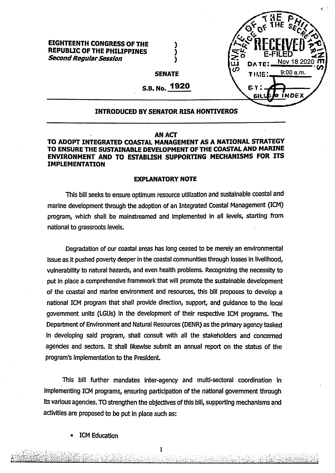## **EIGHTEENTH CONGRESS OF THE REPUBLIC OF THE PHILIPPINES** *SecondRegularSession*



**SENATE**

**) ) )**

**S.B. No. 1920**

# **INTRODUCED BY SENATOR RISA HONTIVEROS**

## **AN ACT**

# **TO ADOPT INTEGRATED COASTAL MANAGEMENT AS A NATIONAL STRATEGY TO ENSURE THE SUSTAINABLE DEVELOPMENT OF THE COASTAL AND MARINE ENVIRONMENT AND TO ESTABLISH SUPPORTING MECHANISMS FOR ITS IMPLEMENTATION**

#### **EXPLANATORY NOTE**

This bill seeks *to* ensure optimum resource utilization and sustainable coastal and marine development through the adoption of an Integrated Coastal Management (ICM) program, which shall be mainstreamed and implemented in all levels, starting from national to grassroots levels.

Degradation of our coastal areas has long ceased to be merely an environmental Issue as it pushed poverty deeper in the coastal communities through losses In livelihood, vulnerability to natural hazards, and even health problems. Recognizing the necessity to put In place a comprehensive framework that will promote the sustainable development of the coastal and marine environment and resources, this bill proposes to develop a national ICM program that shall provide direction, support, and guidance to the local government units (LGUs) in the development of their respective ICM programs. The Department ofEnvironment and Natural Resources (DENR) as the primary agency tasked in developing said program, shall consult with all the stakeholders and concerned agencies and sectors. It shall likewise submit an annual report on the status of the program's Implementation to the President.

This bill further mandates inter-agency and multi-sectoral coordination in Implementing ICM programs, ensuring participation of the national government through Its various agencies. TO strengthen the objectives of this bill, supporting mechanisms and activities are proposed to be put in place such as:

**ICM Education** 

**ii** lit'. *.■ <sup>I</sup> :*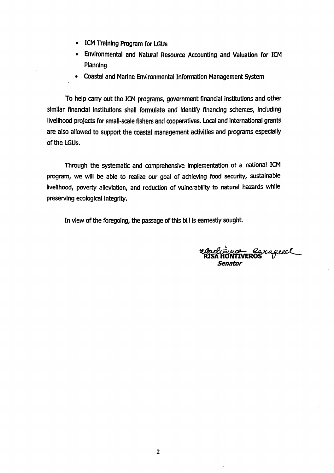- **ICM** Training Program for LGUs
- Environmental and Natural Resource Accounting and Valuation for ICM Planning
- Coastal and Marine Environmental Information Management System

To help carry out the ICM programs, government financial Institutions and other similar financial institutions shall formulate and Identify financing schemes, including livelihood projects for small-scale fishers and cooperatives. Local and International grants are also allowed to support the coastal management activities and programs especially of the LGUs.

Through the systematic and comprehensive implementation of a national ICM program, we will be able to realize our goal of achieving food security, sustainable livelihood, poverty alleviation, and reduction of vulnerability to natural hazards while preserving ecological integrity.

In view of the foregoing, the passage of this bill is earnestly sought.

- Carageeel *Senator*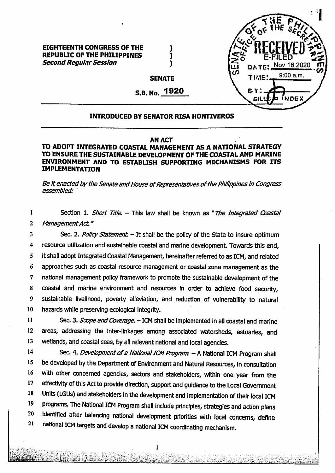

## **EIGHTEENTH CONGRESS OF THE REPUBLIC OF THE PHIUPPINES Second Regular Session**

**SENATE**

) ) )

**S.B. No. 1920**

## **INTRODUCED BY SENATOR RISA HONTIVEROS**

## **AN ACT**

# **TO ADOPT INTEGRATED COASTAL MANAGEMENT AS A NATIONAL STRATEGY TO ENSURE THE SUSTAINABLE DEVELOPMENT OF THE COASTAL AND MARINE ENVIRONMENT AND TO ESTABLISH SUPPORTING MECHANISMS FOR ITS IMPLEMENTATION**

*Be ft enactedby theSenate andHouse ofRepresentatives ofthePhilippines in Congress assembled:*

1 2 Section 1. *Short Title.* – This law shall be known as "*The Integrated Coastal ManagementAct."*

3 4 5 6 7 8 9 10 Sec. 2. *Policy Statement -* It shall be the policy of the State to Insure optimum resource utilization and sustainable coastal and marine development. Towards this end, It shall adopt Integrated Coastal Management, hereinafter referred to as ICM, and related approaches such as coastal resource management or coastal zone management as the national management policy framework to promote the sustainable development of the coastal and marine environment and resources in order to achieve food security, sustainable livelihood, poverty alleviation, and reduction of vulnerability to natural hazards while preserving ecological Integrity.

11 12 13 Sec. 3. *Scope and Coverage*. - ICM shall be implemented in all coastal and marine areas, addressing the Inter-linkages among associated watersheds, estuaries, and wetlands, and coastal seas, by all relevant national and local agencies.

14 Sec. 4. *Development of a National ICM Program.* - A National ICM Program shall be developed by the Department of Environment and Natural Resources, in consultation with other concerned agencies, sectors and stakeholders, within one year from the effectivity of this Act to provide direction, support and guidance to the Local Government Units (LGUs) and stakeholders In the development and Implementation of their local ICM programs. The National ICM Program shall Include principles, strategies and action plans Identified after balancing national development priorities with local concerns, define national ICM targets and develop a national ICM coordinating mechanism.

**Si:;**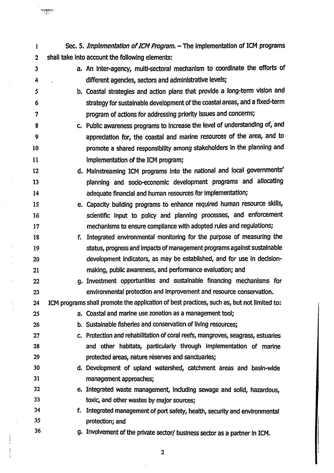| $\mathbf{1}$     | Sec. 5. Implementation of ICM Program. - The Implementation of ICM programs                |
|------------------|--------------------------------------------------------------------------------------------|
| $\boldsymbol{2}$ | shall take into account the following elements:                                            |
| $\mathbf{3}$     | a. An inter-agency, multi-sectoral mechanism to coordinate the efforts of                  |
| 4                | different agencies, sectors and administrative levels;                                     |
| 5                | b. Coastal strategies and action plans that provide a long-term vision and                 |
| 6                | strategy for sustainable development of the coastal areas, and a fixed-term                |
| $\overline{7}$   | program of actions for addressing priority issues and concerns;                            |
| 8                | c. Public awareness programs to Increase the level of understanding of, and                |
| 9                | appreciation for, the coastal and marine resources of the area, and to                     |
| 10               | promote a shared responsibility among stakeholders in the planning and                     |
| 11               | implementation of the ICM program;                                                         |
| 12               | d. Mainstreaming ICM programs into the national and local governments'                     |
| 13               | planning and socio-economic development programs and allocating                            |
| 14               | adequate financial and human resources for implementation;                                 |
| 15               | e. Capacity building programs to enhance required human resource skills,                   |
| 16               | scientific input to policy and planning processes, and enforcement                         |
| 17               | mechanisms to ensure compliance with adopted rules and regulations;                        |
| 18               | f. Integrated environmental monitoring for the purpose of measuring the                    |
| 19               | status, progress and impacts of management programs against sustainable                    |
| 20               | development indicators, as may be established, and for use in decision-                    |
| 21               | making, public awareness, and performance evaluation; and                                  |
| 22               | g. Investment opportunities and sustainable financing mechanisms for                       |
| 23               | environmental protection and improvement and resource conservation.                        |
| 24               | ICM programs shall promote the application of best practices, such as, but not limited to: |
| 25               | a. Coastal and marine use zonation as a management tool;                                   |
| 26               | b. Sustainable fisheries and conservation of living resources;                             |
| 27               | c. Protection and rehabilitation of coral reefs, mangroves, seagrass, estuaries            |
| 28               | and other habitats, particularly through implementation of marine                          |
| 29               | protected areas, nature reserves and sanctuaries;                                          |
| 30               | d. Development of upland watershed, catchment areas and basin-wide                         |
| 31               | management approaches;                                                                     |
| 32               | e. Integrated waste management, including sewage and solid, hazardous,                     |
| 33               | toxic, and other wastes by major sources;                                                  |
| 34<br>35         | f. Integrated management of port safety, health, security and environmental                |
| 36               | protection; and                                                                            |
|                  | g. Involvement of the private sector/ business sector as a partner in ICM.                 |

 $\overline{\mathbf{c}}$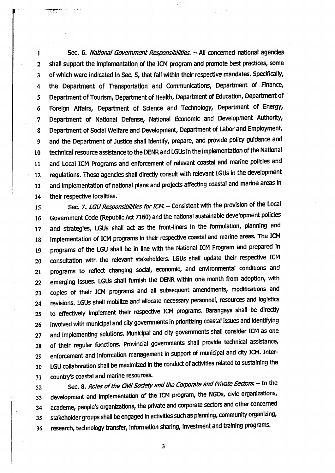1 2 3 4 **5 6 7 8 9 10 11 12 13 14** Sec. 6. *National Government Responsibilities.* - All concerned national agencies shall support the implementation of the ICM program and promote best practices, some of which were indicated In Sec. *5,* that fall within their respective mandates. Specifically, the Department of Transportation and Communications, Department of Finance, Department of Tourism, Department of Health, Department of Education, Department of Foreign Affairs, Department of Science and Technology, Department of Energy, Department of National Defense, National Economic and Development Authority, Department of Social Welfare and Development, Department of Labor and Employment, and the Department of Justice shall identify, prepare, and provide policy guidance and technical resource assistance to the DENR and LGUs in the implementation of the National and Local ICM Programs and enforcement of relevant coastal and marine policies and regulations. These agencies shall directly consult with relevant LGUs In the development and implementation of national plans and projects affecting coastal and marine areas in their respective localities.

**15 16 17 18 19 20 21 22 23** 24 **25 26 27 28 29 30 31** Sec. 7. LGU Responsibilities for ICM. - Consistent with the provision of the Local Government Code (Republic Act 7160) and the national sustainable development policies and strategies, LGUs shall act as the front-liners in the formuiation, pianning and Implementation of ICM programs In their respective coastal and marine areas. The ICM programs of the LGU shall be in line with the National ICM Program and prepared In consultation with the relevant stakeholders. LGUs shall update their respective ICM programs to reflect changing social, economic, and environmental conditions and emerging Issues. LGUs shall furnish the DENR within one month from adoption, with copies of their ICM programs and all subsequent amendments, modifications and revisions. LGUs shall mobilize and allocate necessary personnel, resources and logistics to effectively implement their respective ICM programs. Barangays shall be directly involved with municipal and city governments In prioritizing coastal issues and identifying and Implementing solutions. Municipal and city governments shall consider ICM as one of their regular functions. Provincial governments shall provide technical assistance, enforcement and information management in support of municipal and city ICM. Inter-LGU collaboration shall be maximized in the conduct of activities related to sustaining the country's coastal and marine resources.

**32 33** 34 **35 36** Sec. 8. *Roles of the Civil Society and the Corporate and Private Sectors.* - In the development and implementation of the ICM program, the NGOs, civic organizations, academe, people's organizations, the private and corporate sectors and other concerned stakeholder groups shall be engaged In activities such as planning, community organizing, research, technology transfer, Information sharing. Investment and training programs.

3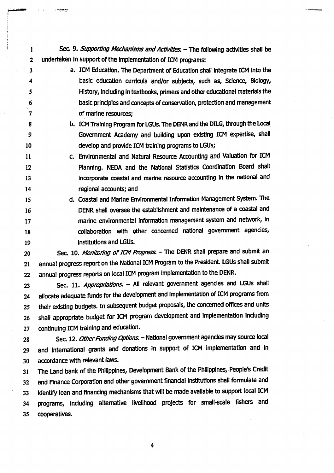Sec. 9. *Supporting Mechanisms and Activities.* - The following activities shall be undertaken In support of the Implementation of ICM programs:

- a. ICM Education. The Department of Education shall Integrate ICM Into the basic education curricula and/or subjects, such as, Science, Biology, History, Including In textbooks, primers and other educational materials the basic principles and concepts of conservation, protection and management of marine resources;
	- b. ICM Training Program for LGUs. The DENR and the DILG, through the Local Government Academy and building upon existing ICM expertise, shall develop and provide ICM training programs to LGUs;
- c. Environmental and Natural Resource Accounting and Valuation for ICM Planning. NEDA and the National Statistics Coordination Board shall incorporate coastal and marine resource accounting In the national and regional accounts; and 11 12 13 14
- d. Coastal and Marine Environmental Information Management System. The DENR shall oversee the establishment and maintenance of a coastal and marine environmental information management system and network, in collaboration with other concerned national government agencies. Institutions and LGUs. 15 16 17 18 19

Sec. 10. Monitoring of ICM Progress. - The DENR shall prepare and submit an annual progress report on the National ICM Program to the President. LGUs shall submit annual progress reports on local ICM program Implementation to the DENR. 20 21 22

Sec. 11. *Appropriations*. - All relevant government agencies and LGUs shall allocate adequate funds for the development and implementation of ICM programs from their existing budgets. In subsequent budget proposals, the concerned offices and units shall appropriate budget for ICM program development and implementation Including continuing ICM training and education. 23

28 Sec. 12. *Other Funding Options.* - National government agencies may source local 29 and International grants and donations In support of ICM Implementation and in 30 accordance with relevant laws.

 The Land bank of the Philippines, Development Bank of the Philippines, People's Credit and Rnance Corporation and other government financial Institutions shall formulate and Identify loan and financing mechanisms that will be made available to support local ICM programs. Including alternative livelihood projects for small-scale fishers and cooperatives.

 $\boldsymbol{4}$